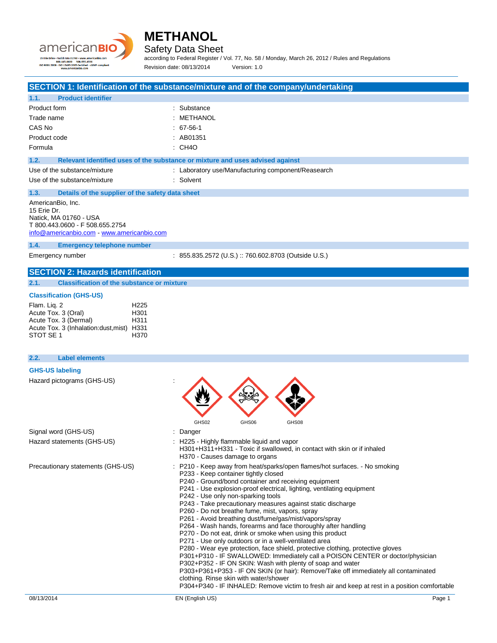



Safety Data Sheet

according to Federal Register / Vol. 77, No. 58 / Monday, March 26, 2012 / Rules and Regulations Revision date: 08/13/2014 Version: 1.0

## **SECTION 1: Identification of the substance/mixture and of the company/undertaking**

| <b>Product identifier</b><br>1.1.                                                                                                           |                                                                               |
|---------------------------------------------------------------------------------------------------------------------------------------------|-------------------------------------------------------------------------------|
| Product form                                                                                                                                | : Substance                                                                   |
| Trade name                                                                                                                                  | : METHANOL                                                                    |
| CAS No                                                                                                                                      | $: 67-56-1$                                                                   |
| Product code                                                                                                                                | $\therefore$ AB01351                                                          |
| Formula                                                                                                                                     | : CH4O                                                                        |
| 1.2.                                                                                                                                        | Relevant identified uses of the substance or mixture and uses advised against |
| Use of the substance/mixture                                                                                                                | : Laboratory use/Manufacturing component/Reasearch                            |
| Use of the substance/mixture                                                                                                                | : Solvent                                                                     |
| Details of the supplier of the safety data sheet<br>1.3.                                                                                    |                                                                               |
| AmericanBio, Inc.<br>15 Erie Dr.<br>Natick, MA 01760 - USA<br>T 800.443.0600 - F 508.655.2754<br>info@americanbio.com - www.americanbio.com |                                                                               |

**1.4. Emergency telephone number**

Emergency number : 855.835.2572 (U.S.) :: 760.602.8703 (Outside U.S.)

### **SECTION 2: Hazards identification**

**2.1. Classification of the substance or mixture**

### **Classification (GHS-US)**

| Flam. Lig. 2                               | H <sub>225</sub> |
|--------------------------------------------|------------------|
| Acute Tox. 3 (Oral)                        | H <sub>301</sub> |
| Acute Tox. 3 (Dermal)                      | H <sub>311</sub> |
| Acute Tox. 3 (Inhalation: dust, mist) H331 |                  |
| STOT SE 1                                  | H370             |

## 08/13/2014 EN (English US) Page 1 **2.2. Label elements GHS-US labeling** Hazard pictograms (GHS-US) : GHS02 GHS06 GHS08 Signal word (GHS-US) in the state of the Signal word (GHS-US) in the state of the Signal state of the Signal S Hazard statements (GHS-US) : H225 - Highly flammable liquid and vapor H301+H311+H331 - Toxic if swallowed, in contact with skin or if inhaled H370 - Causes damage to organs Precautionary statements (GHS-US) : P210 - Keep away from heat/sparks/open flames/hot surfaces. - No smoking P233 - Keep container tightly closed P240 - Ground/bond container and receiving equipment P241 - Use explosion-proof electrical, lighting, ventilating equipment P242 - Use only non-sparking tools P243 - Take precautionary measures against static discharge P260 - Do not breathe fume, mist, vapors, spray P261 - Avoid breathing dust/fume/gas/mist/vapors/spray P264 - Wash hands, forearms and face thoroughly after handling P270 - Do not eat, drink or smoke when using this product P271 - Use only outdoors or in a well-ventilated area P280 - Wear eye protection, face shield, protective clothing, protective gloves P301+P310 - IF SWALLOWED: Immediately call a POISON CENTER or doctor/physician P302+P352 - IF ON SKIN: Wash with plenty of soap and water P303+P361+P353 - IF ON SKIN (or hair): Remove/Take off immediately all contaminated clothing. Rinse skin with water/shower P304+P340 - IF INHALED: Remove victim to fresh air and keep at rest in a position comfortable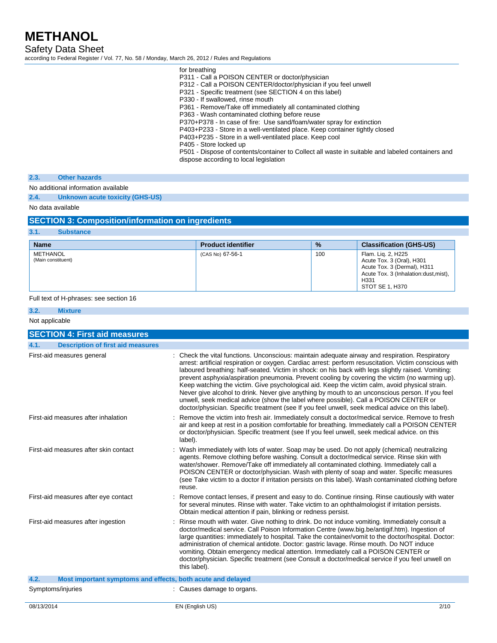Safety Data Sheet

according to Federal Register / Vol. 77, No. 58 / Monday, March 26, 2012 / Rules and Regulations

| for breathing                                                                                    |
|--------------------------------------------------------------------------------------------------|
| P311 - Call a POISON CENTER or doctor/physician                                                  |
| P312 - Call a POISON CENTER/doctor/physician if you feel unwell                                  |
| P321 - Specific treatment (see SECTION 4 on this label)                                          |
| P330 - If swallowed, rinse mouth                                                                 |
| P361 - Remove/Take off immediately all contaminated clothing                                     |
| P363 - Wash contaminated clothing before reuse                                                   |
| P370+P378 - In case of fire: Use sand/foam/water spray for extinction                            |
| P403+P233 - Store in a well-ventilated place. Keep container tightly closed                      |
| P403+P235 - Store in a well-ventilated place. Keep cool                                          |
| P405 - Store locked up                                                                           |
| P501 - Dispose of contents/container to Collect all waste in suitable and labeled containers and |
| dispose according to local legislation                                                           |
|                                                                                                  |

### **2.3. Other hazards**

No additional information available

**2.4. Unknown acute toxicity (GHS-US)**

No data available

## **SECTION 3: Composition/information on ingredients**

| 3.1.<br><b>Substance</b>       |                           |               |                                                                                                                                                     |
|--------------------------------|---------------------------|---------------|-----------------------------------------------------------------------------------------------------------------------------------------------------|
| <b>Name</b>                    | <b>Product identifier</b> | $\frac{9}{6}$ | <b>Classification (GHS-US)</b>                                                                                                                      |
| METHANOL<br>(Main constituent) | (CAS No) 67-56-1          | 100           | Flam. Lig. 2, H225<br>Acute Tox. 3 (Oral), H301<br>Acute Tox. 3 (Dermal), H311<br>Acute Tox. 3 (Inhalation: dust, mist),<br>H331<br>STOT SE 1, H370 |

### Full text of H-phrases: see section 16

| 3.2.           | <b>Mixture</b>                                              |                                                                                                                                                                                                                                                                                                                                                                                                                                                                                                                                                                                                                                                                                                                                                                                                                     |
|----------------|-------------------------------------------------------------|---------------------------------------------------------------------------------------------------------------------------------------------------------------------------------------------------------------------------------------------------------------------------------------------------------------------------------------------------------------------------------------------------------------------------------------------------------------------------------------------------------------------------------------------------------------------------------------------------------------------------------------------------------------------------------------------------------------------------------------------------------------------------------------------------------------------|
| Not applicable |                                                             |                                                                                                                                                                                                                                                                                                                                                                                                                                                                                                                                                                                                                                                                                                                                                                                                                     |
|                | <b>SECTION 4: First aid measures</b>                        |                                                                                                                                                                                                                                                                                                                                                                                                                                                                                                                                                                                                                                                                                                                                                                                                                     |
| 4.1.           | <b>Description of first aid measures</b>                    |                                                                                                                                                                                                                                                                                                                                                                                                                                                                                                                                                                                                                                                                                                                                                                                                                     |
|                | First-aid measures general                                  | : Check the vital functions. Unconscious: maintain adequate airway and respiration. Respiratory<br>arrest: artificial respiration or oxygen. Cardiac arrest: perform resuscitation. Victim conscious with<br>laboured breathing: half-seated. Victim in shock: on his back with legs slightly raised. Vomiting:<br>prevent asphyxia/aspiration pneumonia. Prevent cooling by covering the victim (no warming up).<br>Keep watching the victim. Give psychological aid. Keep the victim calm, avoid physical strain.<br>Never give alcohol to drink. Never give anything by mouth to an unconscious person. If you feel<br>unwell, seek medical advice (show the label where possible). Call a POISON CENTER or<br>doctor/physician. Specific treatment (see If you feel unwell, seek medical advice on this label). |
|                | First-aid measures after inhalation                         | : Remove the victim into fresh air. Immediately consult a doctor/medical service. Remove to fresh<br>air and keep at rest in a position comfortable for breathing. Immediately call a POISON CENTER<br>or doctor/physician. Specific treatment (see If you feel unwell, seek medical advice, on this<br>label).                                                                                                                                                                                                                                                                                                                                                                                                                                                                                                     |
|                | First-aid measures after skin contact                       | : Wash immediately with lots of water. Soap may be used. Do not apply (chemical) neutralizing<br>agents. Remove clothing before washing. Consult a doctor/medical service. Rinse skin with<br>water/shower. Remove/Take off immediately all contaminated clothing. Immediately call a<br>POISON CENTER or doctor/physician. Wash with plenty of soap and water. Specific measures<br>(see Take victim to a doctor if irritation persists on this label). Wash contaminated clothing before<br>reuse.                                                                                                                                                                                                                                                                                                                |
|                | First-aid measures after eye contact                        | : Remove contact lenses, if present and easy to do. Continue rinsing. Rinse cautiously with water<br>for several minutes. Rinse with water. Take victim to an ophthalmologist if irritation persists.<br>Obtain medical attention if pain, blinking or redness persist.                                                                                                                                                                                                                                                                                                                                                                                                                                                                                                                                             |
|                | First-aid measures after ingestion                          | : Rinse mouth with water. Give nothing to drink. Do not induce vomiting. Immediately consult a<br>doctor/medical service. Call Poison Information Centre (www.big.be/antigif.htm). Ingestion of<br>large quantities: immediately to hospital. Take the container/vomit to the doctor/hospital. Doctor:<br>administration of chemical antidote. Doctor: gastric lavage. Rinse mouth. Do NOT induce<br>vomiting. Obtain emergency medical attention. Immediately call a POISON CENTER or<br>doctor/physician. Specific treatment (see Consult a doctor/medical service if you feel unwell on<br>this label).                                                                                                                                                                                                          |
| 4.2.           | Most important symptoms and effects, both acute and delayed |                                                                                                                                                                                                                                                                                                                                                                                                                                                                                                                                                                                                                                                                                                                                                                                                                     |
|                | Symptoms/injuries                                           | : Causes damage to organs.                                                                                                                                                                                                                                                                                                                                                                                                                                                                                                                                                                                                                                                                                                                                                                                          |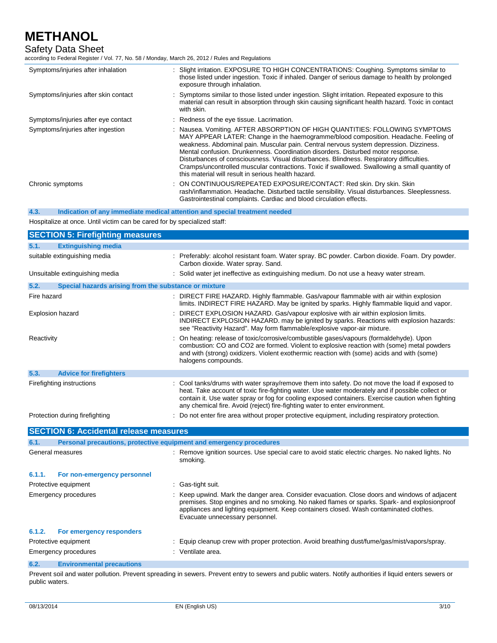# Safety Data Sheet

according to Federal Register / Vol. 77, No. 58 / Monday, March 26, 2012 / Rules and Regulations

| Symptoms/injuries after inhalation   | : Slight irritation. EXPOSURE TO HIGH CONCENTRATIONS: Coughing. Symptoms similar to<br>those listed under ingestion. Toxic if inhaled. Danger of serious damage to health by prolonged<br>exposure through inhalation.                                                                                                                                                                                                                                                                                                                                                                               |
|--------------------------------------|------------------------------------------------------------------------------------------------------------------------------------------------------------------------------------------------------------------------------------------------------------------------------------------------------------------------------------------------------------------------------------------------------------------------------------------------------------------------------------------------------------------------------------------------------------------------------------------------------|
| Symptoms/injuries after skin contact | : Symptoms similar to those listed under ingestion. Slight irritation. Repeated exposure to this<br>material can result in absorption through skin causing significant health hazard. Toxic in contact<br>with skin.                                                                                                                                                                                                                                                                                                                                                                                 |
| Symptoms/injuries after eye contact  | : Redness of the eye tissue. Lacrimation.                                                                                                                                                                                                                                                                                                                                                                                                                                                                                                                                                            |
| Symptoms/injuries after ingestion    | : Nausea. Vomiting. AFTER ABSORPTION OF HIGH QUANTITIES: FOLLOWING SYMPTOMS<br>MAY APPEAR LATER: Change in the haemogramme/blood composition. Headache. Feeling of<br>weakness. Abdominal pain. Muscular pain. Central nervous system depression. Dizziness.<br>Mental confusion. Drunkenness. Coordination disorders. Disturbed motor response.<br>Disturbances of consciousness. Visual disturbances. Blindness. Respiratory difficulties.<br>Cramps/uncontrolled muscular contractions. Toxic if swallowed. Swallowing a small quantity of<br>this material will result in serious health hazard. |
| Chronic symptoms                     | : ON CONTINUOUS/REPEATED EXPOSURE/CONTACT: Red skin. Dry skin. Skin<br>rash/inflammation. Headache. Disturbed tactile sensibility. Visual disturbances. Sleeplessness.<br>Gastrointestinal complaints. Cardiac and blood circulation effects.                                                                                                                                                                                                                                                                                                                                                        |

**4.3. Indication of any immediate medical attention and special treatment needed**

Hospitalize at once. Until victim can be cared for by specialized staff:

| <b>SECTION 5: Firefighting measures</b>                                     |                                                                                                                                                                                                                                                                                                                                                                                         |
|-----------------------------------------------------------------------------|-----------------------------------------------------------------------------------------------------------------------------------------------------------------------------------------------------------------------------------------------------------------------------------------------------------------------------------------------------------------------------------------|
| 5.1.<br><b>Extinguishing media</b>                                          |                                                                                                                                                                                                                                                                                                                                                                                         |
| suitable extinguishing media                                                | : Preferably: alcohol resistant foam. Water spray. BC powder. Carbon dioxide. Foam. Dry powder.<br>Carbon dioxide. Water spray. Sand.                                                                                                                                                                                                                                                   |
| Unsuitable extinguishing media                                              | : Solid water jet ineffective as extinguishing medium. Do not use a heavy water stream.                                                                                                                                                                                                                                                                                                 |
| 5.2.<br>Special hazards arising from the substance or mixture               |                                                                                                                                                                                                                                                                                                                                                                                         |
| Fire hazard                                                                 | : DIRECT FIRE HAZARD. Highly flammable. Gas/vapour flammable with air within explosion<br>limits. INDIRECT FIRE HAZARD. May be ignited by sparks. Highly flammable liquid and vapor.                                                                                                                                                                                                    |
| <b>Explosion hazard</b>                                                     | DIRECT EXPLOSION HAZARD. Gas/vapour explosive with air within explosion limits.<br>INDIRECT EXPLOSION HAZARD. may be ignited by sparks. Reactions with explosion hazards:<br>see "Reactivity Hazard". May form flammable/explosive vapor-air mixture.                                                                                                                                   |
| Reactivity                                                                  | On heating: release of toxic/corrosive/combustible gases/vapours (formaldehyde). Upon<br>combustion: CO and CO2 are formed. Violent to explosive reaction with (some) metal powders<br>and with (strong) oxidizers. Violent exothermic reaction with (some) acids and with (some)<br>halogens compounds.                                                                                |
| 5.3.<br><b>Advice for firefighters</b>                                      |                                                                                                                                                                                                                                                                                                                                                                                         |
| Firefighting instructions                                                   | : Cool tanks/drums with water spray/remove them into safety. Do not move the load if exposed to<br>heat. Take account of toxic fire-fighting water. Use water moderately and if possible collect or<br>contain it. Use water spray or fog for cooling exposed containers. Exercise caution when fighting<br>any chemical fire. Avoid (reject) fire-fighting water to enter environment. |
| Protection during firefighting                                              | : Do not enter fire area without proper protective equipment, including respiratory protection.                                                                                                                                                                                                                                                                                         |
| <b>SECTION 6: Accidental release measures</b>                               |                                                                                                                                                                                                                                                                                                                                                                                         |
| Personal precautions, protective equipment and emergency procedures<br>6.1. |                                                                                                                                                                                                                                                                                                                                                                                         |
| General measures                                                            | : Remove ignition sources. Use special care to avoid static electric charges. No naked lights. No<br>smoking.                                                                                                                                                                                                                                                                           |
| 6.1.1.<br>For non-emergency personnel                                       |                                                                                                                                                                                                                                                                                                                                                                                         |
| Protective equipment                                                        | : Gas-tight suit.                                                                                                                                                                                                                                                                                                                                                                       |
| Emergency procedures                                                        | : Keep upwind. Mark the danger area. Consider evacuation. Close doors and windows of adjacent<br>premises. Stop engines and no smoking. No naked flames or sparks. Spark- and explosionproof<br>appliances and lighting equipment. Keep containers closed. Wash contaminated clothes.<br>Evacuate unnecessary personnel.                                                                |
| 6.1.2.<br>For emergency responders                                          |                                                                                                                                                                                                                                                                                                                                                                                         |
| Protective equipment                                                        | : Equip cleanup crew with proper protection. Avoid breathing dust/fume/gas/mist/vapors/spray.                                                                                                                                                                                                                                                                                           |
| <b>Emergency procedures</b>                                                 | : Ventilate area.                                                                                                                                                                                                                                                                                                                                                                       |
| 6.2.<br><b>Environmental precautions</b>                                    |                                                                                                                                                                                                                                                                                                                                                                                         |

Prevent soil and water pollution. Prevent spreading in sewers. Prevent entry to sewers and public waters. Notify authorities if liquid enters sewers or public waters.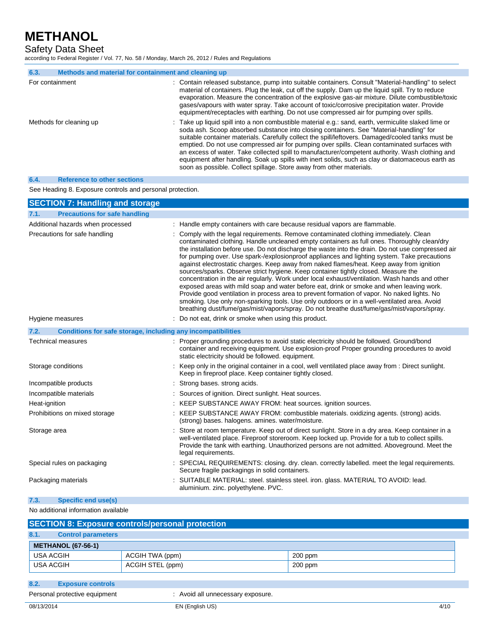Safety Data Sheet

according to Federal Register / Vol. 77, No. 58 / Monday, March 26, 2012 / Rules and Regulations

| 6.3.            | Methods and material for containment and cleaning up |                                                                                                                                                                                                                                                                                                                                                                                                                                                                                                                                                                                                                                                                                      |
|-----------------|------------------------------------------------------|--------------------------------------------------------------------------------------------------------------------------------------------------------------------------------------------------------------------------------------------------------------------------------------------------------------------------------------------------------------------------------------------------------------------------------------------------------------------------------------------------------------------------------------------------------------------------------------------------------------------------------------------------------------------------------------|
| For containment |                                                      | : Contain released substance, pump into suitable containers. Consult "Material-handling" to select<br>material of containers. Plug the leak, cut off the supply. Dam up the liquid spill. Try to reduce<br>evaporation. Measure the concentration of the explosive gas-air mixture. Dilute combustible/toxic<br>gases/vapours with water spray. Take account of toxic/corrosive precipitation water. Provide<br>equipment/receptacles with earthing. Do not use compressed air for pumping over spills.                                                                                                                                                                              |
|                 | Methods for cleaning up                              | : Take up liquid spill into a non combustible material e.g.: sand, earth, vermiculite slaked lime or<br>soda ash. Scoop absorbed substance into closing containers. See "Material-handling" for<br>suitable container materials. Carefully collect the spill/leftovers. Damaged/cooled tanks must be<br>emptied. Do not use compressed air for pumping over spills. Clean contaminated surfaces with<br>an excess of water. Take collected spill to manufacturer/competent authority. Wash clothing and<br>equipment after handling. Soak up spills with inert solids, such as clay or diatomaceous earth as<br>soon as possible. Collect spillage. Store away from other materials. |

### **6.4. Reference to other sections**

See Heading 8. Exposure controls and personal protection.

| <b>SECTION 7: Handling and storage</b>                               |                                                                                                                                                                                                                                                                                                                                                                                                                                                                                                                                                                                                                                                                                                                                                                                                                                                                                                                                                                                                                                                                       |
|----------------------------------------------------------------------|-----------------------------------------------------------------------------------------------------------------------------------------------------------------------------------------------------------------------------------------------------------------------------------------------------------------------------------------------------------------------------------------------------------------------------------------------------------------------------------------------------------------------------------------------------------------------------------------------------------------------------------------------------------------------------------------------------------------------------------------------------------------------------------------------------------------------------------------------------------------------------------------------------------------------------------------------------------------------------------------------------------------------------------------------------------------------|
| <b>Precautions for safe handling</b><br>7.1.                         |                                                                                                                                                                                                                                                                                                                                                                                                                                                                                                                                                                                                                                                                                                                                                                                                                                                                                                                                                                                                                                                                       |
| Additional hazards when processed                                    | : Handle empty containers with care because residual vapors are flammable.                                                                                                                                                                                                                                                                                                                                                                                                                                                                                                                                                                                                                                                                                                                                                                                                                                                                                                                                                                                            |
| Precautions for safe handling                                        | : Comply with the legal requirements. Remove contaminated clothing immediately. Clean<br>contaminated clothing. Handle uncleaned empty containers as full ones. Thoroughly clean/dry<br>the installation before use. Do not discharge the waste into the drain. Do not use compressed air<br>for pumping over. Use spark-/explosionproof appliances and lighting system. Take precautions<br>against electrostatic charges. Keep away from naked flames/heat. Keep away from ignition<br>sources/sparks. Observe strict hygiene. Keep container tightly closed. Measure the<br>concentration in the air regularly. Work under local exhaust/ventilation. Wash hands and other<br>exposed areas with mild soap and water before eat, drink or smoke and when leaving work.<br>Provide good ventilation in process area to prevent formation of vapor. No naked lights. No<br>smoking. Use only non-sparking tools. Use only outdoors or in a well-ventilated area. Avoid<br>breathing dust/fume/gas/mist/vapors/spray. Do not breathe dust/fume/gas/mist/vapors/spray. |
| Hygiene measures                                                     | : Do not eat, drink or smoke when using this product.                                                                                                                                                                                                                                                                                                                                                                                                                                                                                                                                                                                                                                                                                                                                                                                                                                                                                                                                                                                                                 |
| 7.2.<br>Conditions for safe storage, including any incompatibilities |                                                                                                                                                                                                                                                                                                                                                                                                                                                                                                                                                                                                                                                                                                                                                                                                                                                                                                                                                                                                                                                                       |
| <b>Technical measures</b>                                            | : Proper grounding procedures to avoid static electricity should be followed. Ground/bond<br>container and receiving equipment. Use explosion-proof Proper grounding procedures to avoid<br>static electricity should be followed, equipment.                                                                                                                                                                                                                                                                                                                                                                                                                                                                                                                                                                                                                                                                                                                                                                                                                         |
| Storage conditions                                                   | : Keep only in the original container in a cool, well ventilated place away from : Direct sunlight.<br>Keep in fireproof place. Keep container tightly closed.                                                                                                                                                                                                                                                                                                                                                                                                                                                                                                                                                                                                                                                                                                                                                                                                                                                                                                        |
| Incompatible products                                                | : Strong bases, strong acids.                                                                                                                                                                                                                                                                                                                                                                                                                                                                                                                                                                                                                                                                                                                                                                                                                                                                                                                                                                                                                                         |
| Incompatible materials                                               | : Sources of ignition. Direct sunlight. Heat sources.                                                                                                                                                                                                                                                                                                                                                                                                                                                                                                                                                                                                                                                                                                                                                                                                                                                                                                                                                                                                                 |
| Heat-ignition                                                        | : KEEP SUBSTANCE AWAY FROM: heat sources. ignition sources.                                                                                                                                                                                                                                                                                                                                                                                                                                                                                                                                                                                                                                                                                                                                                                                                                                                                                                                                                                                                           |
| Prohibitions on mixed storage                                        | : KEEP SUBSTANCE AWAY FROM: combustible materials. oxidizing agents. (strong) acids.<br>(strong) bases. halogens. amines. water/moisture.                                                                                                                                                                                                                                                                                                                                                                                                                                                                                                                                                                                                                                                                                                                                                                                                                                                                                                                             |
| Storage area                                                         | Store at room temperature. Keep out of direct sunlight. Store in a dry area. Keep container in a<br>well-ventilated place. Fireproof storeroom. Keep locked up. Provide for a tub to collect spills.<br>Provide the tank with earthing. Unauthorized persons are not admitted. Aboveground. Meet the<br>legal requirements.                                                                                                                                                                                                                                                                                                                                                                                                                                                                                                                                                                                                                                                                                                                                           |
| Special rules on packaging                                           | : SPECIAL REQUIREMENTS: closing. dry. clean. correctly labelled. meet the legal requirements.<br>Secure fragile packagings in solid containers.                                                                                                                                                                                                                                                                                                                                                                                                                                                                                                                                                                                                                                                                                                                                                                                                                                                                                                                       |
| Packaging materials                                                  | SUITABLE MATERIAL: steel. stainless steel. iron. glass. MATERIAL TO AVOID: lead.<br>aluminium. zinc. polyethylene. PVC.                                                                                                                                                                                                                                                                                                                                                                                                                                                                                                                                                                                                                                                                                                                                                                                                                                                                                                                                               |
| <b>Specific end use(s)</b><br>7.3.                                   |                                                                                                                                                                                                                                                                                                                                                                                                                                                                                                                                                                                                                                                                                                                                                                                                                                                                                                                                                                                                                                                                       |

### No additional information available

| <b>SECTION 8: Exposure controls/personal protection</b> |           |  |
|---------------------------------------------------------|-----------|--|
| <b>Control parameters</b>                               |           |  |
| <b>METHANOL (67-56-1)</b>                               |           |  |
| ACGIH TWA (ppm)                                         | $200$ ppm |  |
| ACGIH STEL (ppm)                                        | $200$ ppm |  |
|                                                         |           |  |

- **8.2. Exposure controls**
- 

Personal protective equipment : Avoid all unnecessary exposure.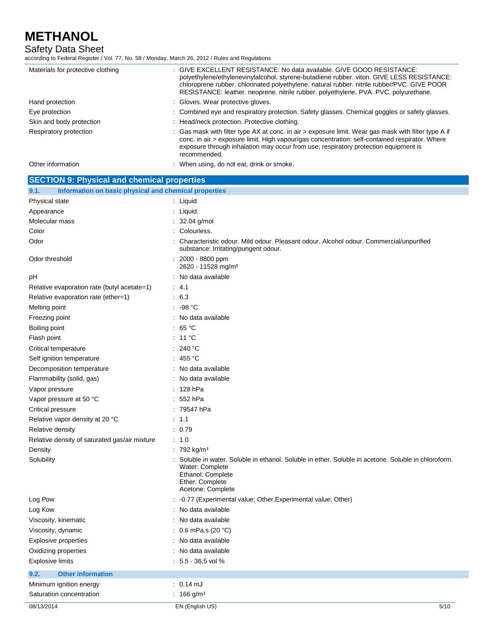Safety Data Sheet

according to Federal Register / Vol. 77, No. 58 / Monday, March 26, 2012 / Rules and Regulations

| Materials for protective clothing                             | : GIVE EXCELLENT RESISTANCE: No data available. GIVE GOOD RESISTANCE:<br>polyethylene/ethylenevinylalcohol. styrene-butadiene rubber. viton. GIVE LESS RESISTANCE:<br>chloroprene rubber. chlorinated polyethylene. natural rubber. nitrile rubber/PVC. GIVE POOR<br>RESISTANCE: leather. neoprene. nitrile rubber. polyethylene. PVA. PVC. polyurethane. |
|---------------------------------------------------------------|-----------------------------------------------------------------------------------------------------------------------------------------------------------------------------------------------------------------------------------------------------------------------------------------------------------------------------------------------------------|
| Hand protection                                               | : Gloves. Wear protective gloves.                                                                                                                                                                                                                                                                                                                         |
| Eye protection                                                | : Combined eye and respiratory protection. Safety glasses. Chemical goggles or safety glasses.                                                                                                                                                                                                                                                            |
| Skin and body protection                                      | : Head/neck protection. Protective clothing.                                                                                                                                                                                                                                                                                                              |
| Respiratory protection                                        | : Gas mask with filter type AX at conc. in air > exposure limit. Wear gas mask with filter type A if<br>conc. in air > exposure limit. High vapour/gas concentration: self-contained respirator. Where<br>exposure through inhalation may occur from use, respiratory protection equipment is<br>recommended.                                             |
| Other information                                             | : When using, do not eat, drink or smoke.                                                                                                                                                                                                                                                                                                                 |
| <b>SECTION 9: Physical and chemical properties</b>            |                                                                                                                                                                                                                                                                                                                                                           |
| Information on basic physical and chemical properties<br>9.1. |                                                                                                                                                                                                                                                                                                                                                           |

| 08/13/2014                                    | EN (English US)<br>5/10                                                                                                        |
|-----------------------------------------------|--------------------------------------------------------------------------------------------------------------------------------|
| Saturation concentration                      | : 166 g/m <sup>3</sup>                                                                                                         |
| Minimum ignition energy                       | $: 0.14 \text{ mJ}$                                                                                                            |
| 9.2.<br><b>Other information</b>              |                                                                                                                                |
| <b>Explosive limits</b>                       | $: 5.5 - 36.5$ vol %                                                                                                           |
| Oxidizing properties                          | : No data available                                                                                                            |
| <b>Explosive properties</b>                   | : No data available                                                                                                            |
| Viscosity, dynamic                            | : $0.6$ mPa.s (20 °C)                                                                                                          |
| Viscosity, kinematic                          | : No data available                                                                                                            |
| Log Kow                                       | : No data available                                                                                                            |
| Log Pow                                       | -0.77 (Experimental value; Other, Experimental value; Other)                                                                   |
|                                               | Ethanol: Complete<br>Ether: Complete<br>Acetone: Complete                                                                      |
| Solubility                                    | : Soluble in water. Soluble in ethanol. Soluble in ether. Soluble in acetone. Soluble in chloroform.<br>Water: Complete        |
| Density                                       | : 792 kg/m <sup>3</sup>                                                                                                        |
| Relative density of saturated gas/air mixture | : 1.0                                                                                                                          |
| Relative density                              | : 0.79                                                                                                                         |
| Relative vapor density at 20 °C               | : 1.1                                                                                                                          |
| Critical pressure                             | : 79547 hPa                                                                                                                    |
| Vapor pressure at 50 °C                       | $: 552$ hPa                                                                                                                    |
| Vapor pressure                                | $: 128$ hPa                                                                                                                    |
| Flammability (solid, gas)                     | : No data available                                                                                                            |
| Decomposition temperature                     | : No data available                                                                                                            |
| Self ignition temperature                     | : 455 $^{\circ}$ C                                                                                                             |
| Critical temperature                          | : 240 °C                                                                                                                       |
| Flash point                                   | : 11 $^{\circ}$ C                                                                                                              |
| Boiling point                                 | : 65 $^{\circ}$ C                                                                                                              |
| Freezing point                                | : No data available                                                                                                            |
| Melting point                                 | $: -98 °C$                                                                                                                     |
| Relative evaporation rate (ether=1)           | : 6.3                                                                                                                          |
| Relative evaporation rate (butyl acetate=1)   | : 4.1                                                                                                                          |
| рH                                            | : No data available                                                                                                            |
| Odor threshold                                | $: 2000 - 8800$ ppm<br>2620 - 11528 mg/m <sup>3</sup>                                                                          |
| Odor                                          | Characteristic odour. Mild odour. Pleasant odour. Alcohol odour. Commercial/unpurified<br>substance: Irritating/pungent odour. |
| Color                                         | : Colourless.                                                                                                                  |
| Molecular mass                                | : $32.04$ g/mol                                                                                                                |
| Appearance                                    |                                                                                                                                |
|                                               | : Liquid.                                                                                                                      |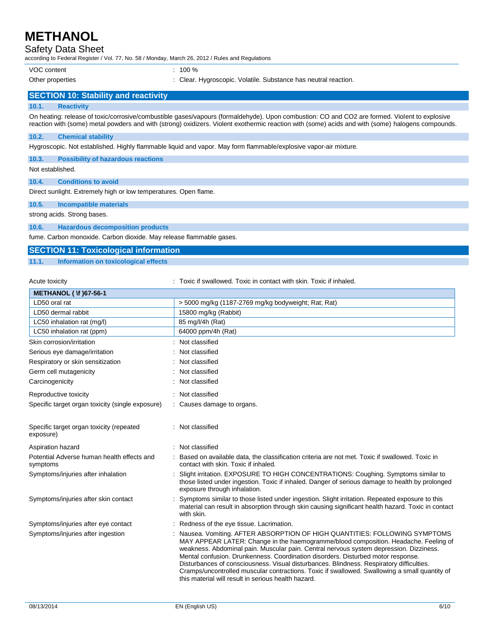## Safety Data Sheet

according to Federal Register / Vol. 77, No. 58 / Monday, March 26, 2012 / Rules and Regulations

VOC content : 100 %

Other properties : Clear. Hygroscopic. Volatile. Substance has neutral reaction.

## **SECTION 10: Stability and reactivity**

### **10.1. Reactivity**

On heating: release of toxic/corrosive/combustible gases/vapours (formaldehyde). Upon combustion: CO and CO2 are formed. Violent to explosive reaction with (some) metal powders and with (strong) oxidizers. Violent exothermic reaction with (some) acids and with (some) halogens compounds.

### **10.2. Chemical stability**

Hygroscopic. Not established. Highly flammable liquid and vapor. May form flammable/explosive vapor-air mixture.

**10.3. Possibility of hazardous reactions**

### Not established.

**10.4. Conditions to avoid**

Direct sunlight. Extremely high or low temperatures. Open flame.

### **10.5. Incompatible materials**

strong acids. Strong bases.

### **10.6. Hazardous decomposition products**

fume. Carbon monoxide. Carbon dioxide. May release flammable gases.

## **SECTION 11: Toxicological information**

### **11.1. Information on toxicological effects**

Acute toxicity **in the summand of the top of the state of the state of the skin.** Toxic if inhaled.

| <b>METHANOL (\f) 67-56-1</b>                           |                                                                                                                                                                                                                                                                                                                                                                                                                                                                                                                                                                                                    |
|--------------------------------------------------------|----------------------------------------------------------------------------------------------------------------------------------------------------------------------------------------------------------------------------------------------------------------------------------------------------------------------------------------------------------------------------------------------------------------------------------------------------------------------------------------------------------------------------------------------------------------------------------------------------|
| LD50 oral rat                                          | > 5000 mg/kg (1187-2769 mg/kg bodyweight; Rat; Rat)                                                                                                                                                                                                                                                                                                                                                                                                                                                                                                                                                |
| LD50 dermal rabbit                                     | 15800 mg/kg (Rabbit)                                                                                                                                                                                                                                                                                                                                                                                                                                                                                                                                                                               |
| LC50 inhalation rat (mg/l)                             | 85 mg/l/4h (Rat)                                                                                                                                                                                                                                                                                                                                                                                                                                                                                                                                                                                   |
| LC50 inhalation rat (ppm)                              | 64000 ppm/4h (Rat)                                                                                                                                                                                                                                                                                                                                                                                                                                                                                                                                                                                 |
| Skin corrosion/irritation                              | Not classified                                                                                                                                                                                                                                                                                                                                                                                                                                                                                                                                                                                     |
| Serious eye damage/irritation                          | Not classified                                                                                                                                                                                                                                                                                                                                                                                                                                                                                                                                                                                     |
| Respiratory or skin sensitization                      | : Not classified                                                                                                                                                                                                                                                                                                                                                                                                                                                                                                                                                                                   |
| Germ cell mutagenicity                                 | Not classified                                                                                                                                                                                                                                                                                                                                                                                                                                                                                                                                                                                     |
| Carcinogenicity                                        | Not classified                                                                                                                                                                                                                                                                                                                                                                                                                                                                                                                                                                                     |
| Reproductive toxicity                                  | : Not classified                                                                                                                                                                                                                                                                                                                                                                                                                                                                                                                                                                                   |
| Specific target organ toxicity (single exposure)       | : Causes damage to organs.                                                                                                                                                                                                                                                                                                                                                                                                                                                                                                                                                                         |
| Specific target organ toxicity (repeated<br>exposure)  | : Not classified                                                                                                                                                                                                                                                                                                                                                                                                                                                                                                                                                                                   |
| Aspiration hazard                                      | : Not classified                                                                                                                                                                                                                                                                                                                                                                                                                                                                                                                                                                                   |
| Potential Adverse human health effects and<br>symptoms | Based on available data, the classification criteria are not met. Toxic if swallowed. Toxic in<br>contact with skin. Toxic if inhaled.                                                                                                                                                                                                                                                                                                                                                                                                                                                             |
| Symptoms/injuries after inhalation                     | Slight irritation. EXPOSURE TO HIGH CONCENTRATIONS: Coughing. Symptoms similar to<br>those listed under ingestion. Toxic if inhaled. Danger of serious damage to health by prolonged<br>exposure through inhalation.                                                                                                                                                                                                                                                                                                                                                                               |
| Symptoms/injuries after skin contact                   | Symptoms similar to those listed under ingestion. Slight irritation. Repeated exposure to this<br>material can result in absorption through skin causing significant health hazard. Toxic in contact<br>with skin.                                                                                                                                                                                                                                                                                                                                                                                 |
| Symptoms/injuries after eye contact                    | Redness of the eye tissue. Lacrimation.                                                                                                                                                                                                                                                                                                                                                                                                                                                                                                                                                            |
| Symptoms/injuries after ingestion                      | Nausea. Vomiting. AFTER ABSORPTION OF HIGH QUANTITIES: FOLLOWING SYMPTOMS<br>MAY APPEAR LATER: Change in the haemogramme/blood composition. Headache. Feeling of<br>weakness. Abdominal pain. Muscular pain. Central nervous system depression. Dizziness.<br>Mental confusion. Drunkenness. Coordination disorders. Disturbed motor response.<br>Disturbances of consciousness. Visual disturbances. Blindness. Respiratory difficulties.<br>Cramps/uncontrolled muscular contractions. Toxic if swallowed. Swallowing a small quantity of<br>this material will result in serious health hazard. |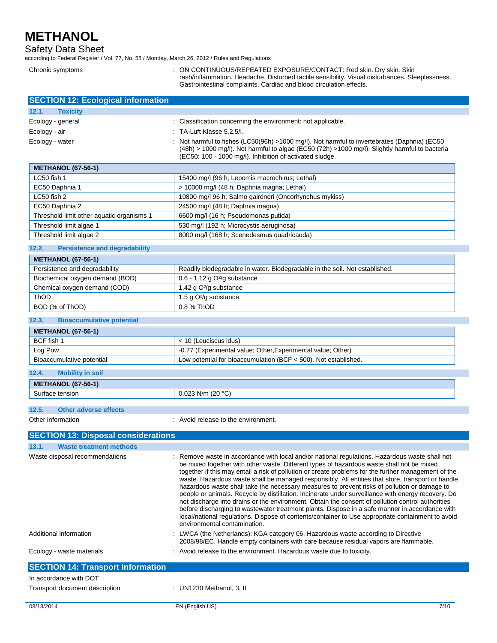Chronic symptoms

Safety Data Sheet

according to Federal Register / Vol. 77, No. 58 / Monday, March 26, 2012 / Rules and Regulations

| : ON CONTINUOUS/REPEATED EXPOSURE/CONTACT: Red skin. Dry skin. Skin<br>rash/inflammation. Headache. Disturbed tactile sensibility. Visual disturbances. Sleeplessness.<br>Gastrointestinal complaints. Cardiac and blood circulation effects. |
|-----------------------------------------------------------------------------------------------------------------------------------------------------------------------------------------------------------------------------------------------|
|                                                                                                                                                                                                                                               |

| <b>SECTION 12: Ecological information</b>     |                                                                                                                                                                                                                                                                                                                                                                                                                                                                                                                                                                                                                                                                                                                                                                                                                                                                                                                                                            |
|-----------------------------------------------|------------------------------------------------------------------------------------------------------------------------------------------------------------------------------------------------------------------------------------------------------------------------------------------------------------------------------------------------------------------------------------------------------------------------------------------------------------------------------------------------------------------------------------------------------------------------------------------------------------------------------------------------------------------------------------------------------------------------------------------------------------------------------------------------------------------------------------------------------------------------------------------------------------------------------------------------------------|
| 12.1.<br><b>Toxicity</b>                      |                                                                                                                                                                                                                                                                                                                                                                                                                                                                                                                                                                                                                                                                                                                                                                                                                                                                                                                                                            |
| Ecology - general                             | : Classification concerning the environment: not applicable.                                                                                                                                                                                                                                                                                                                                                                                                                                                                                                                                                                                                                                                                                                                                                                                                                                                                                               |
| Ecology - air                                 | : TA-Luft Klasse 5.2.5/I.                                                                                                                                                                                                                                                                                                                                                                                                                                                                                                                                                                                                                                                                                                                                                                                                                                                                                                                                  |
| Ecology - water                               | Not harmful to fishes (LC50(96h) >1000 mg/l). Not harmful to invertebrates (Daphnia) (EC50<br>(48h) > 1000 mg/l). Not harmful to algae (EC50 (72h) >1000 mg/l). Slightly harmful to bacteria<br>(EC50: 100 - 1000 mg/l). Inhibition of activated sludge.                                                                                                                                                                                                                                                                                                                                                                                                                                                                                                                                                                                                                                                                                                   |
| <b>METHANOL (67-56-1)</b>                     |                                                                                                                                                                                                                                                                                                                                                                                                                                                                                                                                                                                                                                                                                                                                                                                                                                                                                                                                                            |
| LC50 fish 1                                   | 15400 mg/l (96 h; Lepomis macrochirus; Lethal)                                                                                                                                                                                                                                                                                                                                                                                                                                                                                                                                                                                                                                                                                                                                                                                                                                                                                                             |
| EC50 Daphnia 1                                | > 10000 mg/l (48 h; Daphnia magna; Lethal)                                                                                                                                                                                                                                                                                                                                                                                                                                                                                                                                                                                                                                                                                                                                                                                                                                                                                                                 |
| LC50 fish 2                                   | 10800 mg/l 96 h; Salmo gairdneri (Oncorhynchus mykiss)                                                                                                                                                                                                                                                                                                                                                                                                                                                                                                                                                                                                                                                                                                                                                                                                                                                                                                     |
| EC50 Daphnia 2                                | 24500 mg/l (48 h; Daphnia magna)                                                                                                                                                                                                                                                                                                                                                                                                                                                                                                                                                                                                                                                                                                                                                                                                                                                                                                                           |
| Threshold limit other aquatic organisms 1     | 6600 mg/l (16 h; Pseudomonas putida)                                                                                                                                                                                                                                                                                                                                                                                                                                                                                                                                                                                                                                                                                                                                                                                                                                                                                                                       |
| Threshold limit algae 1                       | 530 mg/l (192 h; Microcystis aeruginosa)                                                                                                                                                                                                                                                                                                                                                                                                                                                                                                                                                                                                                                                                                                                                                                                                                                                                                                                   |
| Threshold limit algae 2                       | 8000 mg/l (168 h; Scenedesmus quadricauda)                                                                                                                                                                                                                                                                                                                                                                                                                                                                                                                                                                                                                                                                                                                                                                                                                                                                                                                 |
| 12.2.<br><b>Persistence and degradability</b> |                                                                                                                                                                                                                                                                                                                                                                                                                                                                                                                                                                                                                                                                                                                                                                                                                                                                                                                                                            |
| <b>METHANOL (67-56-1)</b>                     |                                                                                                                                                                                                                                                                                                                                                                                                                                                                                                                                                                                                                                                                                                                                                                                                                                                                                                                                                            |
| Persistence and degradability                 | Readily biodegradable in water. Biodegradable in the soil. Not established.                                                                                                                                                                                                                                                                                                                                                                                                                                                                                                                                                                                                                                                                                                                                                                                                                                                                                |
| Biochemical oxygen demand (BOD)               | 0.6 - 1.12 g O <sup>2</sup> /g substance                                                                                                                                                                                                                                                                                                                                                                                                                                                                                                                                                                                                                                                                                                                                                                                                                                                                                                                   |
| Chemical oxygen demand (COD)                  | 1.42 g O <sup>2</sup> /g substance                                                                                                                                                                                                                                                                                                                                                                                                                                                                                                                                                                                                                                                                                                                                                                                                                                                                                                                         |
| ThOD                                          | 1.5 g O <sup>2</sup> /g substance                                                                                                                                                                                                                                                                                                                                                                                                                                                                                                                                                                                                                                                                                                                                                                                                                                                                                                                          |
| BOD (% of ThOD)                               | 0.8 % ThOD                                                                                                                                                                                                                                                                                                                                                                                                                                                                                                                                                                                                                                                                                                                                                                                                                                                                                                                                                 |
| 12.3.<br><b>Bioaccumulative potential</b>     |                                                                                                                                                                                                                                                                                                                                                                                                                                                                                                                                                                                                                                                                                                                                                                                                                                                                                                                                                            |
| <b>METHANOL (67-56-1)</b>                     |                                                                                                                                                                                                                                                                                                                                                                                                                                                                                                                                                                                                                                                                                                                                                                                                                                                                                                                                                            |
| BCF fish 1                                    | < 10 (Leuciscus idus)                                                                                                                                                                                                                                                                                                                                                                                                                                                                                                                                                                                                                                                                                                                                                                                                                                                                                                                                      |
| Log Pow                                       | -0.77 (Experimental value; Other, Experimental value; Other)                                                                                                                                                                                                                                                                                                                                                                                                                                                                                                                                                                                                                                                                                                                                                                                                                                                                                               |
| Bioaccumulative potential                     | Low potential for bioaccumulation (BCF < 500). Not established.                                                                                                                                                                                                                                                                                                                                                                                                                                                                                                                                                                                                                                                                                                                                                                                                                                                                                            |
| 12.4.<br><b>Mobility in soil</b>              |                                                                                                                                                                                                                                                                                                                                                                                                                                                                                                                                                                                                                                                                                                                                                                                                                                                                                                                                                            |
| <b>METHANOL (67-56-1)</b>                     |                                                                                                                                                                                                                                                                                                                                                                                                                                                                                                                                                                                                                                                                                                                                                                                                                                                                                                                                                            |
| Surface tension                               | 0.023 N/m (20 $°C$ )                                                                                                                                                                                                                                                                                                                                                                                                                                                                                                                                                                                                                                                                                                                                                                                                                                                                                                                                       |
|                                               |                                                                                                                                                                                                                                                                                                                                                                                                                                                                                                                                                                                                                                                                                                                                                                                                                                                                                                                                                            |
| 12.5.<br><b>Other adverse effects</b>         |                                                                                                                                                                                                                                                                                                                                                                                                                                                                                                                                                                                                                                                                                                                                                                                                                                                                                                                                                            |
| Other information                             | : Avoid release to the environment.                                                                                                                                                                                                                                                                                                                                                                                                                                                                                                                                                                                                                                                                                                                                                                                                                                                                                                                        |
| <b>SECTION 13: Disposal considerations</b>    |                                                                                                                                                                                                                                                                                                                                                                                                                                                                                                                                                                                                                                                                                                                                                                                                                                                                                                                                                            |
| 13.1.<br><b>Waste treatment methods</b>       |                                                                                                                                                                                                                                                                                                                                                                                                                                                                                                                                                                                                                                                                                                                                                                                                                                                                                                                                                            |
| Waste disposal recommendations                | : Remove waste in accordance with local and/or national regulations. Hazardous waste shall not<br>be mixed together with other waste. Different types of hazardous waste shall not be mixed<br>together if this may entail a risk of pollution or create problems for the further management of the<br>waste. Hazardous waste shall be managed responsibly. All entities that store, transport or handle<br>hazardous waste shall take the necessary measures to prevent risks of pollution or damage to<br>people or animals. Recycle by distillation. Incinerate under surveillance with energy recovery. Do<br>not discharge into drains or the environment. Obtain the consent of pollution control authorities<br>before discharging to wastewater treatment plants. Dispose in a safe manner in accordance with<br>local/national regulations. Dispose of contents/container to Use appropriate containment to avoid<br>environmental contamination. |
| Additional information                        | : LWCA (the Netherlands): KGA category 06. Hazardous waste according to Directive<br>2008/98/EC. Handle empty containers with care because residual vapors are flammable.                                                                                                                                                                                                                                                                                                                                                                                                                                                                                                                                                                                                                                                                                                                                                                                  |
| Ecology - waste materials                     | : Avoid release to the environment. Hazardous waste due to toxicity.                                                                                                                                                                                                                                                                                                                                                                                                                                                                                                                                                                                                                                                                                                                                                                                                                                                                                       |
| <b>SECTION 14: Transport information</b>      |                                                                                                                                                                                                                                                                                                                                                                                                                                                                                                                                                                                                                                                                                                                                                                                                                                                                                                                                                            |
| In accordance with DOT                        |                                                                                                                                                                                                                                                                                                                                                                                                                                                                                                                                                                                                                                                                                                                                                                                                                                                                                                                                                            |

I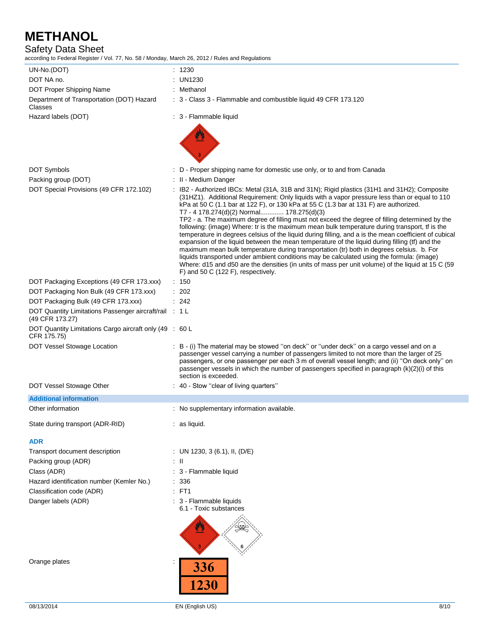# Safety Data Sheet

according to Federal Register / Vol. 77, No. 58 / Monday, March 26, 2012 / Rules and Regulations

| UN-No.(DOT)                                                               | : 1230                                                                                                                                                                                                                                                                                                                                                                                                                                                                                                                                                                                                                                                                                                                                                                                                                                                                                                                                                                                                                                                                                |
|---------------------------------------------------------------------------|---------------------------------------------------------------------------------------------------------------------------------------------------------------------------------------------------------------------------------------------------------------------------------------------------------------------------------------------------------------------------------------------------------------------------------------------------------------------------------------------------------------------------------------------------------------------------------------------------------------------------------------------------------------------------------------------------------------------------------------------------------------------------------------------------------------------------------------------------------------------------------------------------------------------------------------------------------------------------------------------------------------------------------------------------------------------------------------|
| DOT NA no.                                                                | : UN1230                                                                                                                                                                                                                                                                                                                                                                                                                                                                                                                                                                                                                                                                                                                                                                                                                                                                                                                                                                                                                                                                              |
| DOT Proper Shipping Name                                                  | : Methanol                                                                                                                                                                                                                                                                                                                                                                                                                                                                                                                                                                                                                                                                                                                                                                                                                                                                                                                                                                                                                                                                            |
| Department of Transportation (DOT) Hazard<br>Classes                      | : 3 - Class 3 - Flammable and combustible liquid 49 CFR 173.120                                                                                                                                                                                                                                                                                                                                                                                                                                                                                                                                                                                                                                                                                                                                                                                                                                                                                                                                                                                                                       |
| Hazard labels (DOT)                                                       | : 3 - Flammable liquid                                                                                                                                                                                                                                                                                                                                                                                                                                                                                                                                                                                                                                                                                                                                                                                                                                                                                                                                                                                                                                                                |
|                                                                           |                                                                                                                                                                                                                                                                                                                                                                                                                                                                                                                                                                                                                                                                                                                                                                                                                                                                                                                                                                                                                                                                                       |
| <b>DOT Symbols</b>                                                        | : D - Proper shipping name for domestic use only, or to and from Canada                                                                                                                                                                                                                                                                                                                                                                                                                                                                                                                                                                                                                                                                                                                                                                                                                                                                                                                                                                                                               |
| Packing group (DOT)                                                       | : II - Medium Danger                                                                                                                                                                                                                                                                                                                                                                                                                                                                                                                                                                                                                                                                                                                                                                                                                                                                                                                                                                                                                                                                  |
| DOT Special Provisions (49 CFR 172.102)                                   | : IB2 - Authorized IBCs: Metal (31A, 31B and 31N); Rigid plastics (31H1 and 31H2); Composite<br>(31HZ1). Additional Requirement: Only liquids with a vapor pressure less than or equal to 110<br>kPa at 50 C (1.1 bar at 122 F), or 130 kPa at 55 C (1.3 bar at 131 F) are authorized.<br>T7 - 4 178.274(d)(2) Normal 178.275(d)(3)<br>TP2 - a. The maximum degree of filling must not exceed the degree of filling determined by the<br>following: (image) Where: tr is the maximum mean bulk temperature during transport, tf is the<br>temperature in degrees celsius of the liquid during filling, and a is the mean coefficient of cubical<br>expansion of the liquid between the mean temperature of the liquid during filling (tf) and the<br>maximum mean bulk temperature during transportation (tr) both in degrees celsius. b. For<br>liquids transported under ambient conditions may be calculated using the formula: (image)<br>Where: d15 and d50 are the densities (in units of mass per unit volume) of the liquid at 15 C (59<br>F) and 50 C (122 F), respectively. |
| DOT Packaging Exceptions (49 CFR 173.xxx)                                 | : 150                                                                                                                                                                                                                                                                                                                                                                                                                                                                                                                                                                                                                                                                                                                                                                                                                                                                                                                                                                                                                                                                                 |
| DOT Packaging Non Bulk (49 CFR 173.xxx)                                   | $\therefore$ 202                                                                                                                                                                                                                                                                                                                                                                                                                                                                                                                                                                                                                                                                                                                                                                                                                                                                                                                                                                                                                                                                      |
| DOT Packaging Bulk (49 CFR 173.xxx)                                       | : 242                                                                                                                                                                                                                                                                                                                                                                                                                                                                                                                                                                                                                                                                                                                                                                                                                                                                                                                                                                                                                                                                                 |
| DOT Quantity Limitations Passenger aircraft/rail : 1 L<br>(49 CFR 173.27) |                                                                                                                                                                                                                                                                                                                                                                                                                                                                                                                                                                                                                                                                                                                                                                                                                                                                                                                                                                                                                                                                                       |
| DOT Quantity Limitations Cargo aircraft only (49 : 60 L<br>CFR 175.75)    |                                                                                                                                                                                                                                                                                                                                                                                                                                                                                                                                                                                                                                                                                                                                                                                                                                                                                                                                                                                                                                                                                       |
| DOT Vessel Stowage Location                                               | : B - (i) The material may be stowed "on deck" or "under deck" on a cargo vessel and on a<br>passenger vessel carrying a number of passengers limited to not more than the larger of 25<br>passengers, or one passenger per each 3 m of overall vessel length; and (ii) "On deck only" on<br>passenger vessels in which the number of passengers specified in paragraph (k)(2)(i) of this<br>section is exceeded.                                                                                                                                                                                                                                                                                                                                                                                                                                                                                                                                                                                                                                                                     |
| DOT Vessel Stowage Other                                                  | : 40 - Stow "clear of living quarters"                                                                                                                                                                                                                                                                                                                                                                                                                                                                                                                                                                                                                                                                                                                                                                                                                                                                                                                                                                                                                                                |
| <b>Additional information</b>                                             |                                                                                                                                                                                                                                                                                                                                                                                                                                                                                                                                                                                                                                                                                                                                                                                                                                                                                                                                                                                                                                                                                       |
| Other information                                                         | : No supplementary information available.                                                                                                                                                                                                                                                                                                                                                                                                                                                                                                                                                                                                                                                                                                                                                                                                                                                                                                                                                                                                                                             |
| State during transport (ADR-RID)                                          | as liquid.                                                                                                                                                                                                                                                                                                                                                                                                                                                                                                                                                                                                                                                                                                                                                                                                                                                                                                                                                                                                                                                                            |
| <b>ADR</b>                                                                |                                                                                                                                                                                                                                                                                                                                                                                                                                                                                                                                                                                                                                                                                                                                                                                                                                                                                                                                                                                                                                                                                       |
| Transport document description                                            | : UN 1230, 3 (6.1), II, (D/E)                                                                                                                                                                                                                                                                                                                                                                                                                                                                                                                                                                                                                                                                                                                                                                                                                                                                                                                                                                                                                                                         |
| Packing group (ADR)                                                       | ÷Ш                                                                                                                                                                                                                                                                                                                                                                                                                                                                                                                                                                                                                                                                                                                                                                                                                                                                                                                                                                                                                                                                                    |
| Class (ADR)                                                               | : 3 - Flammable liquid                                                                                                                                                                                                                                                                                                                                                                                                                                                                                                                                                                                                                                                                                                                                                                                                                                                                                                                                                                                                                                                                |
| Hazard identification number (Kemler No.)                                 | : 336                                                                                                                                                                                                                                                                                                                                                                                                                                                                                                                                                                                                                                                                                                                                                                                                                                                                                                                                                                                                                                                                                 |
| Classification code (ADR)                                                 | $E$ FT1                                                                                                                                                                                                                                                                                                                                                                                                                                                                                                                                                                                                                                                                                                                                                                                                                                                                                                                                                                                                                                                                               |
| Danger labels (ADR)                                                       | : 3 - Flammable liquids<br>6.1 - Toxic substances                                                                                                                                                                                                                                                                                                                                                                                                                                                                                                                                                                                                                                                                                                                                                                                                                                                                                                                                                                                                                                     |
|                                                                           |                                                                                                                                                                                                                                                                                                                                                                                                                                                                                                                                                                                                                                                                                                                                                                                                                                                                                                                                                                                                                                                                                       |
| Orange plates                                                             | 336<br><b>1230</b>                                                                                                                                                                                                                                                                                                                                                                                                                                                                                                                                                                                                                                                                                                                                                                                                                                                                                                                                                                                                                                                                    |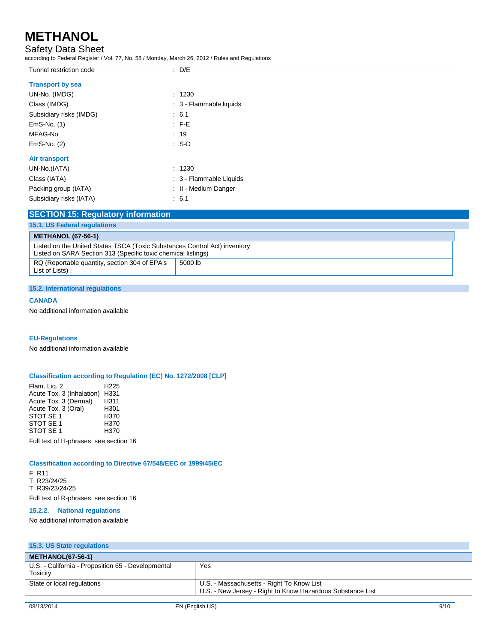# Safety Data Sheet

according to Federal Register / Vol. 77, No. 58 / Monday, March 26, 2012 / Rules and Regulations

| Tunnel restriction code | $\therefore$ D/E        |
|-------------------------|-------------------------|
| <b>Transport by sea</b> |                         |
| UN-No. (IMDG)           | : 1230                  |
| Class (IMDG)            | : 3 - Flammable liquids |
| Subsidiary risks (IMDG) | : 6.1                   |
| EmS-No. (1)             | $F-E$                   |
| MFAG-No                 | : 19                    |
| EmS-No. (2)             | $\cdot$ S-D             |
| Air transport           |                         |
| UN-No.(IATA)            | : 1230                  |
| Class (IATA)            | : 3 - Flammable Liquids |
| Packing group (IATA)    | : II - Medium Danger    |
| Subsidiary risks (IATA) | : 6.1                   |
|                         |                         |

## **SECTION 15: Regulatory information**

| 15.1. US Federal regulations                                                                                                               |         |
|--------------------------------------------------------------------------------------------------------------------------------------------|---------|
| <b>METHANOL (67-56-1)</b>                                                                                                                  |         |
| Listed on the United States TSCA (Toxic Substances Control Act) inventory<br>Listed on SARA Section 313 (Specific toxic chemical listings) |         |
| RQ (Reportable quantity, section 304 of EPA's<br>List of Lists):                                                                           | 5000 lb |

### **15.2. International regulations**

### **CANADA**

No additional information available

### **EU-Regulations**

No additional information available

### **Classification according to Regulation (EC) No. 1272/2008 [CLP]**

Flam. Liq. 2 H225 Acute Tox. 3 (Inhalation) H331<br>Acute Tox. 3 (Dermal) H311 Acute Tox. 3 (Dermal) H311<br>Acute Tox. 3 (Oral) H301 Acute Tox. 3 (Oral) H301<br>STOT SE 1 H370 STOT SE 1 <br>STOT SE 1 H370 STOT SE 1 H370<br>STOT SE 1 H370 STOT SE 1

Full text of H-phrases: see section 16

### **Classification according to Directive 67/548/EEC or 1999/45/EC**

F; R11 T; R23/24/25 T; R39/23/24/25 Full text of R-phrases: see section 16

### **15.2.2. National regulations**

No additional information available

| 15.3. US State regulations                                     |                                                                                                         |
|----------------------------------------------------------------|---------------------------------------------------------------------------------------------------------|
| <b>METHANOL(67-56-1)</b>                                       |                                                                                                         |
| U.S. - California - Proposition 65 - Developmental<br>Toxicity | Yes                                                                                                     |
| State or local regulations                                     | U.S. - Massachusetts - Right To Know List<br>U.S. - New Jersey - Right to Know Hazardous Substance List |